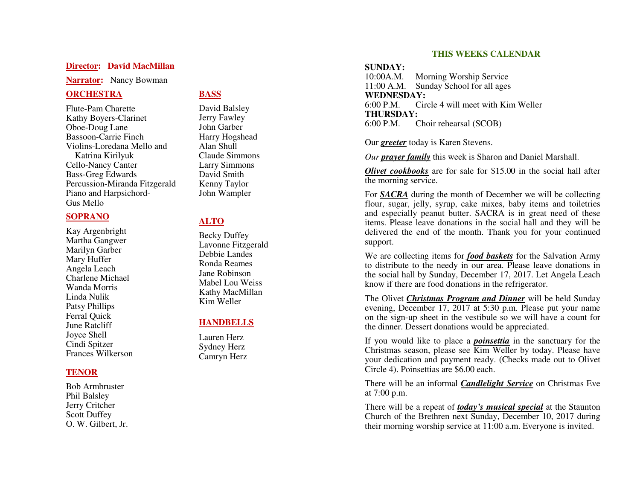#### **Director: David MacMillan**

**Narrator:** Nancy Bowman

### **ORCHESTRA**

Flute-Pam Charette Kathy Boyers-Clarinet Oboe-Doug Lane Bassoon-Carrie Finch Violins-Loredana Mello and Katrina Kirilyuk Cello-Nancy Canter Bass-Greg Edwards Percussion-Miranda Fitzgerald Piano and Harpsichord-Gus Mello

#### **SOPRANO**

Kay Argenbright Martha Gangwer Marilyn Garber Mary Huffer Angela Leach Charlene Michael Wanda Morris Linda Nulik Patsy Phillips Ferral Quick June Ratcliff Joyce Shell Cindi Spitzer Frances Wilkerson

### **TENOR**

Bob Armbruster Phil Balsley Jerry Critcher Scott Duffey O. W. Gilbert, Jr.

### **BASS**

David Balsley Jerry Fawley John Garber Harry Hogshead Alan Shull Claude Simmons Larry Simmons David Smith Kenny Taylor John Wampler

## **ALTO**

Becky Duffey Lavonne Fitzgerald Debbie Landes Ronda Reames Jane Robinson Mabel Lou Weiss Kathy MacMillan Kim Weller

### **HANDBELLS**

Lauren Herz Sydney Herz Camryn Herz

#### **THIS WEEKS CALENDAR**

#### **SUNDAY:**

 $10:00A.M.$ 10:00A.M. Morning Worship Service<br>11:00 A.M. Sunday School for all ages 11:00 A.M. Sunday School for all ages **WEDNESDAY:**  6:00 P.M. Circle 4 will meet with Kim Weller **THURSDAY:** 6:00 P.M. Choir rehearsal (SCOB)

Our *greeter* today is Karen Stevens.

*Our prayer family* this week is Sharon and Daniel Marshall.

*Olivet cookbooks* are for sale for \$15.00 in the social hall after the morning service.

For *SACRA* during the month of December we will be collecting flour, sugar, jelly, syrup, cake mixes, baby items and toiletries and especially peanut butter. SACRA is in great need of these items. Please leave donations in the social hall and they will be delivered the end of the month. Thank you for your continued support.

We are collecting items for *food baskets* for the Salvation Army to distribute to the needy in our area. Please leave donations in the social hall by Sunday, December 17, 2017. Let Angela Leach know if there are food donations in the refrigerator.

The Olivet *Christmas Program and Dinner* will be held Sunday evening, December 17, 2017 at 5:30 p.m. Please put your name on the sign-up sheet in the vestibule so we will have a count for the dinner. Dessert donations would be appreciated.

If you would like to place a *poinsettia* in the sanctuary for the Christmas season, please see Kim Weller by today. Please have your dedication and payment ready. (Checks made out to Olivet Circle 4). Poinsettias are \$6.00 each.

There will be an informal *Candlelight Service* on Christmas Eve at 7:00 p.m.

There will be a repeat of *today's musical special* at the Staunton Church of the Brethren next Sunday, December 10, 2017 during their morning worship service at 11:00 a.m. Everyone is invited.